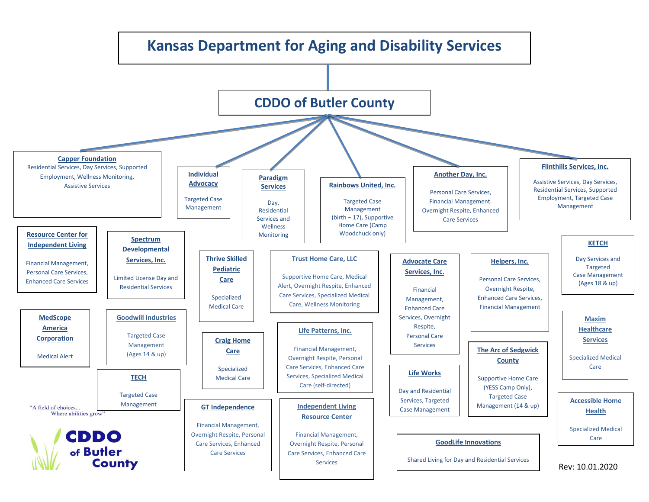